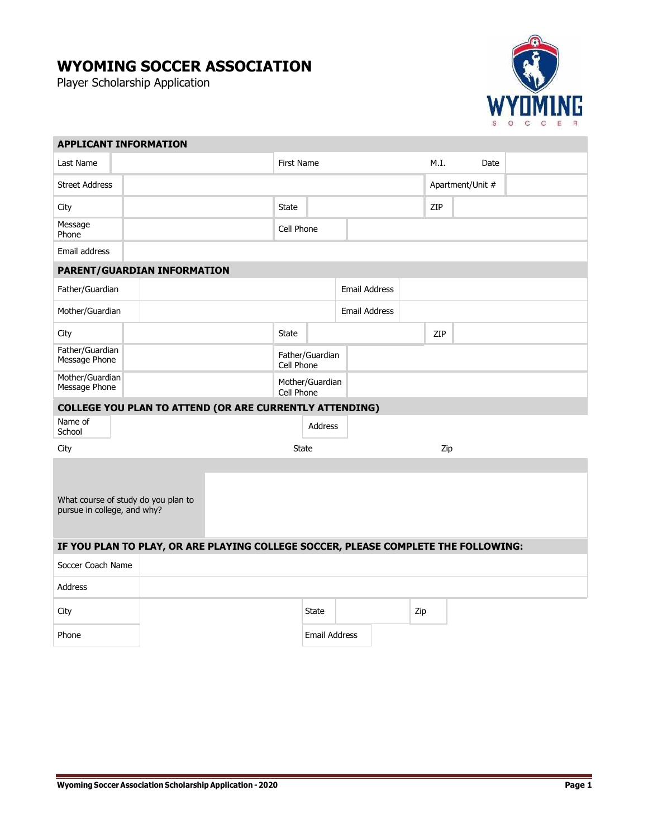## **WYOMING SOCCER ASSOCIATION**

Player Scholarship Application



| <b>APPLICANT INFORMATION</b>                                                       |                   |                               |                      |                      |  |     |                  |  |  |  |  |
|------------------------------------------------------------------------------------|-------------------|-------------------------------|----------------------|----------------------|--|-----|------------------|--|--|--|--|
| Last Name                                                                          | <b>First Name</b> |                               |                      |                      |  |     | Date             |  |  |  |  |
| <b>Street Address</b>                                                              |                   |                               |                      |                      |  |     | Apartment/Unit # |  |  |  |  |
| City                                                                               |                   | <b>State</b>                  |                      | ZIP                  |  |     |                  |  |  |  |  |
| Message<br>Phone                                                                   |                   | Cell Phone                    |                      |                      |  |     |                  |  |  |  |  |
| Email address                                                                      |                   |                               |                      |                      |  |     |                  |  |  |  |  |
| PARENT/GUARDIAN INFORMATION                                                        |                   |                               |                      |                      |  |     |                  |  |  |  |  |
| Father/Guardian                                                                    |                   | <b>Email Address</b>          |                      |                      |  |     |                  |  |  |  |  |
| Mother/Guardian                                                                    |                   |                               |                      | <b>Email Address</b> |  |     |                  |  |  |  |  |
| City                                                                               |                   | State                         |                      |                      |  | ZIP |                  |  |  |  |  |
| Father/Guardian<br>Message Phone                                                   |                   | Cell Phone                    | Father/Guardian      |                      |  |     |                  |  |  |  |  |
| Mother/Guardian<br>Message Phone                                                   |                   | Mother/Guardian<br>Cell Phone |                      |                      |  |     |                  |  |  |  |  |
| <b>COLLEGE YOU PLAN TO ATTEND (OR ARE CURRENTLY ATTENDING)</b>                     |                   |                               |                      |                      |  |     |                  |  |  |  |  |
| Name of<br>School                                                                  |                   |                               | <b>Address</b>       |                      |  |     |                  |  |  |  |  |
| City                                                                               |                   | <b>State</b>                  |                      | Zip                  |  |     |                  |  |  |  |  |
|                                                                                    |                   |                               |                      |                      |  |     |                  |  |  |  |  |
| What course of study do you plan to<br>pursue in college, and why?                 |                   |                               |                      |                      |  |     |                  |  |  |  |  |
| IF YOU PLAN TO PLAY, OR ARE PLAYING COLLEGE SOCCER, PLEASE COMPLETE THE FOLLOWING: |                   |                               |                      |                      |  |     |                  |  |  |  |  |
| Soccer Coach Name                                                                  |                   |                               |                      |                      |  |     |                  |  |  |  |  |
| Address                                                                            |                   |                               |                      |                      |  |     |                  |  |  |  |  |
| City                                                                               |                   |                               | <b>State</b>         |                      |  | Zip |                  |  |  |  |  |
| Phone                                                                              |                   |                               | <b>Email Address</b> |                      |  |     |                  |  |  |  |  |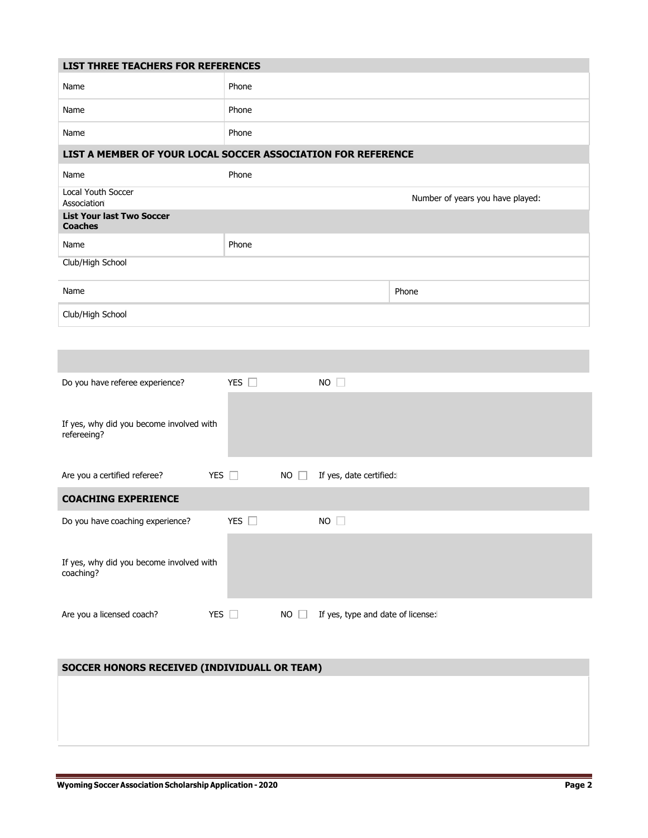| LIST THREE TEACHERS FOR REFERENCES                           |                 |                                   |                                  |  |  |  |  |  |  |  |
|--------------------------------------------------------------|-----------------|-----------------------------------|----------------------------------|--|--|--|--|--|--|--|
| Name                                                         | Phone           |                                   |                                  |  |  |  |  |  |  |  |
| Name                                                         | Phone           |                                   |                                  |  |  |  |  |  |  |  |
| Name                                                         | Phone           |                                   |                                  |  |  |  |  |  |  |  |
| LIST A MEMBER OF YOUR LOCAL SOCCER ASSOCIATION FOR REFERENCE |                 |                                   |                                  |  |  |  |  |  |  |  |
| Name                                                         | Phone           |                                   |                                  |  |  |  |  |  |  |  |
| <b>Local Youth Soccer</b><br>Association                     |                 |                                   | Number of years you have played: |  |  |  |  |  |  |  |
| <b>List Your last Two Soccer</b><br><b>Coaches</b>           |                 |                                   |                                  |  |  |  |  |  |  |  |
| Name                                                         | Phone           |                                   |                                  |  |  |  |  |  |  |  |
| Club/High School                                             |                 |                                   |                                  |  |  |  |  |  |  |  |
| Name                                                         |                 |                                   | Phone                            |  |  |  |  |  |  |  |
| Club/High School                                             |                 |                                   |                                  |  |  |  |  |  |  |  |
|                                                              |                 |                                   |                                  |  |  |  |  |  |  |  |
|                                                              |                 |                                   |                                  |  |  |  |  |  |  |  |
| Do you have referee experience?                              | YES $\square$   | NO                                |                                  |  |  |  |  |  |  |  |
|                                                              |                 |                                   |                                  |  |  |  |  |  |  |  |
| If yes, why did you become involved with<br>refereeing?      |                 |                                   |                                  |  |  |  |  |  |  |  |
|                                                              |                 |                                   |                                  |  |  |  |  |  |  |  |
| YES $\square$<br>Are you a certified referee?                | NO.             | If yes, date certified:           |                                  |  |  |  |  |  |  |  |
| <b>COACHING EXPERIENCE</b>                                   |                 |                                   |                                  |  |  |  |  |  |  |  |
| Do you have coaching experience?                             | <b>YES</b><br>ш | NO                                |                                  |  |  |  |  |  |  |  |
|                                                              |                 |                                   |                                  |  |  |  |  |  |  |  |
| If yes, why did you become involved with<br>coaching?        |                 |                                   |                                  |  |  |  |  |  |  |  |
| YES $\square$<br>Are you a licensed coach?                   | NO              | If yes, type and date of license: |                                  |  |  |  |  |  |  |  |

## **SOCCER HONORS RECEIVED (INDIVIDUALL OR TEAM)**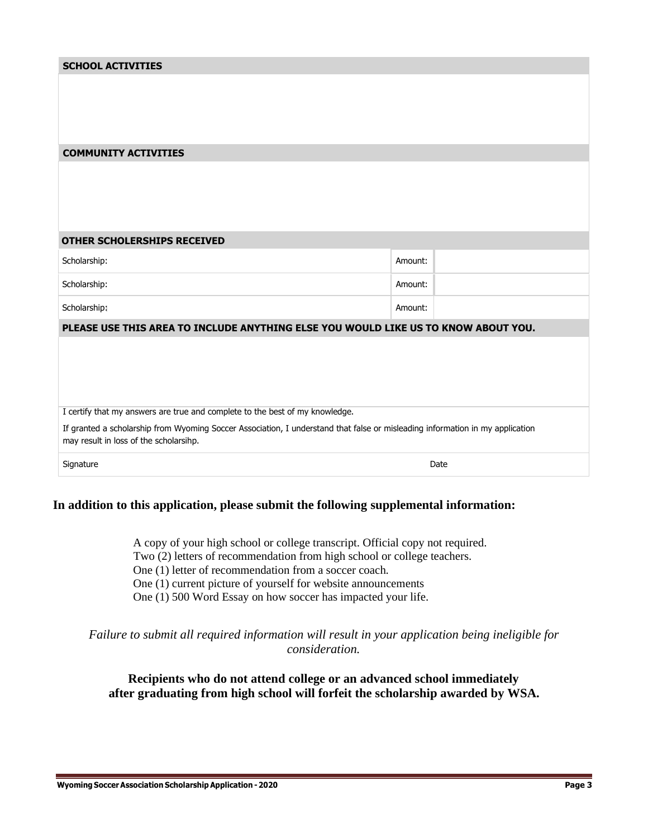| <b>SCHOOL ACTIVITIES</b>                                                                                                                                                |         |      |  |  |  |  |  |
|-------------------------------------------------------------------------------------------------------------------------------------------------------------------------|---------|------|--|--|--|--|--|
|                                                                                                                                                                         |         |      |  |  |  |  |  |
|                                                                                                                                                                         |         |      |  |  |  |  |  |
|                                                                                                                                                                         |         |      |  |  |  |  |  |
| <b>COMMUNITY ACTIVITIES</b>                                                                                                                                             |         |      |  |  |  |  |  |
|                                                                                                                                                                         |         |      |  |  |  |  |  |
|                                                                                                                                                                         |         |      |  |  |  |  |  |
|                                                                                                                                                                         |         |      |  |  |  |  |  |
| <b>OTHER SCHOLERSHIPS RECEIVED</b>                                                                                                                                      |         |      |  |  |  |  |  |
| Scholarship:                                                                                                                                                            | Amount: |      |  |  |  |  |  |
| Scholarship:                                                                                                                                                            | Amount: |      |  |  |  |  |  |
| Scholarship:                                                                                                                                                            | Amount: |      |  |  |  |  |  |
| PLEASE USE THIS AREA TO INCLUDE ANYTHING ELSE YOU WOULD LIKE US TO KNOW ABOUT YOU.                                                                                      |         |      |  |  |  |  |  |
|                                                                                                                                                                         |         |      |  |  |  |  |  |
|                                                                                                                                                                         |         |      |  |  |  |  |  |
|                                                                                                                                                                         |         |      |  |  |  |  |  |
| I certify that my answers are true and complete to the best of my knowledge.                                                                                            |         |      |  |  |  |  |  |
| If granted a scholarship from Wyoming Soccer Association, I understand that false or misleading information in my application<br>may result in loss of the scholarsihp. |         |      |  |  |  |  |  |
| Signature                                                                                                                                                               |         | Date |  |  |  |  |  |

## **In addition to this application, please submit the following supplemental information:**

A copy of your high school or college transcript. Official copy not required. Two (2) letters of recommendation from high school or college teachers. One (1) letter of recommendation from a soccer coach. One (1) current picture of yourself for website announcements One (1) 500 Word Essay on how soccer has impacted your life.

*Failure to submit all required information will result in your application being ineligible for consideration.*

## **Recipients who do not attend college or an advanced school immediately after graduating from high school will forfeit the scholarship awarded by WSA.**